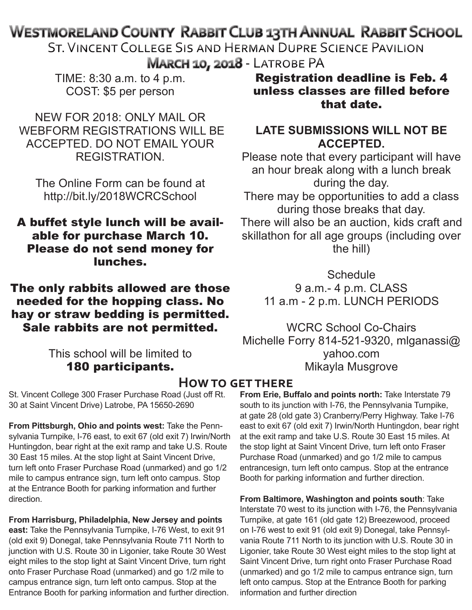# **WESTMORELAND COUNTY RABBIT CLUB 13TH ANNUAL RABBIT SCHOOL**

ST. VINCENT COLLEGE SIS AND HERMAN DUPRE SCIENCE PAVILION MARCH 10, 2018 - LATROBE PA

TIME: 8:30 a.m. to 4 p.m. COST: \$5 per person

NEW FOR 2018: ONLY MAIL OR WEBFORM REGISTRATIONS WILL BE ACCEPTED. DO NOT EMAIL YOUR REGISTRATION.

The Online Form can be found at http://bit.ly/2018WCRCSchool

## A buffet style lunch will be available for purchase March 10. Please do not send money for lunches.

The only rabbits allowed are those needed for the hopping class. No hay or straw bedding is permitted. Sale rabbits are not permitted.

# This school will be limited to 180 participants.

St. Vincent College 300 Fraser Purchase Road (Just off Rt. 30 at Saint Vincent Drive) Latrobe, PA 15650-2690

**From Pittsburgh, Ohio and points west:** Take the Pennsylvania Turnpike, I-76 east, to exit 67 (old exit 7) Irwin/North Huntingdon, bear right at the exit ramp and take U.S. Route 30 East 15 miles. At the stop light at Saint Vincent Drive, turn left onto Fraser Purchase Road (unmarked) and go 1/2 mile to campus entrance sign, turn left onto campus. Stop at the Entrance Booth for parking information and further direction.

**From Harrisburg, Philadelphia, New Jersey and points east:** Take the Pennsylvania Turnpike, I-76 West, to exit 91 (old exit 9) Donegal, take Pennsylvania Route 711 North to junction with U.S. Route 30 in Ligonier, take Route 30 West eight miles to the stop light at Saint Vincent Drive, turn right onto Fraser Purchase Road (unmarked) and go 1/2 mile to campus entrance sign, turn left onto campus. Stop at the Entrance Booth for parking information and further direction.

Registration deadline is Feb. 4 unless classes are filled before that date.

## **LATE SUBMISSIONS WILL NOT BE ACCEPTED.**

Please note that every participant will have an hour break along with a lunch break during the day.

There may be opportunities to add a class during those breaks that day.

There will also be an auction, kids craft and skillathon for all age groups (including over the hill)

> **Schedule** 9 a.m.- 4 p.m. CLASS 11 a.m - 2 p.m. LUNCH PERIODS

WCRC School Co-Chairs Michelle Forry 814-521-9320, mlganassi@ yahoo.com Mikayla Musgrove

# **How to get there**

**From Erie, Buffalo and points north:** Take Interstate 79 south to its junction with I-76, the Pennsylvania Turnpike, at gate 28 (old gate 3) Cranberry/Perry Highway. Take I-76 east to exit 67 (old exit 7) Irwin/North Huntingdon, bear right at the exit ramp and take U.S. Route 30 East 15 miles. At the stop light at Saint Vincent Drive, turn left onto Fraser Purchase Road (unmarked) and go 1/2 mile to campus entrancesign, turn left onto campus. Stop at the entrance Booth for parking information and further direction.

**From Baltimore, Washington and points south**: Take Interstate 70 west to its junction with I-76, the Pennsylvania Turnpike, at gate 161 (old gate 12) Breezewood, proceed on I-76 west to exit 91 (old exit 9) Donegal, take Pennsylvania Route 711 North to its junction with U.S. Route 30 in Ligonier, take Route 30 West eight miles to the stop light at Saint Vincent Drive, turn right onto Fraser Purchase Road (unmarked) and go 1/2 mile to campus entrance sign, turn left onto campus. Stop at the Entrance Booth for parking information and further direction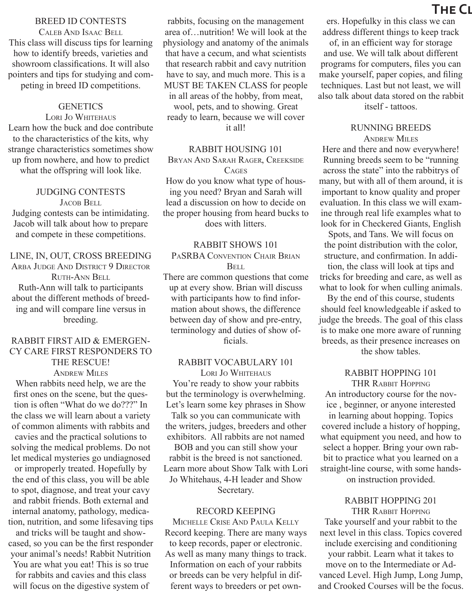#### BREED ID CONTESTS

Caleb And Isaac Bell This class will discuss tips for learning how to identify breeds, varieties and showroom classifications. It will also pointers and tips for studying and competing in breed ID competitions.

### **GENETICS**

Lori Jo Whitehaus Learn how the buck and doe contribute to the characteristics of the kits, why strange characteristics sometimes show up from nowhere, and how to predict what the offspring will look like.

#### JUDGING CONTESTS

JACOB BELL Judging contests can be intimidating. Jacob will talk about how to prepare and compete in these competitions.

LINE, IN, OUT, CROSS BREEDING ARBA JUDGE AND DISTRICT 9 DIRECTOR Ruth-Ann Bell Ruth-Ann will talk to participants about the different methods of breeding and will compare line versus in breeding.

### RABBIT FIRST AID & EMERGEN-CY CARE FIRST RESPONDERS TO THE RESCUE!

**ANDREW MILES** 

When rabbits need help, we are the first ones on the scene, but the question is often "What do we do???" In the class we will learn about a variety of common aliments with rabbits and cavies and the practical solutions to solving the medical problems. Do not let medical mysteries go undiagnosed or improperly treated. Hopefully by the end of this class, you will be able to spot, diagnose, and treat your cavy and rabbit friends. Both external and internal anatomy, pathology, medication, nutrition, and some lifesaving tips

and tricks will be taught and showcased, so you can be the first responder your animal's needs! Rabbit Nutrition You are what you eat! This is so true

for rabbits and cavies and this class will focus on the digestive system of

rabbits, focusing on the management area of…nutrition! We will look at the physiology and anatomy of the animals that have a cecum, and what scientists that research rabbit and cavy nutrition have to say, and much more. This is a MUST BE TAKEN CLASS for people in all areas of the hobby, from meat, wool, pets, and to showing. Great ready to learn, because we will cover it all!

RABBIT HOUSING 101

Bryan And Sarah Rager, Creekside **CAGES** 

How do you know what type of housing you need? Bryan and Sarah will lead a discussion on how to decide on the proper housing from heard bucks to does with litters.

#### RABBIT SHOWS 101

PaSRBA Convention Chair Brian Bell

There are common questions that come up at every show. Brian will discuss with participants how to find information about shows, the difference between day of show and pre-entry, terminology and duties of show officials.

#### RABBIT VOCABULARY 101

LORI JO WHITEHAUS You're ready to show your rabbits but the terminology is overwhelming. Let's learn some key phrases in Show Talk so you can communicate with the writers, judges, breeders and other exhibitors. All rabbits are not named BOB and you can still show your

rabbit is the breed is not sanctioned. Learn more about Show Talk with Lori Jo Whitehaus, 4-H leader and Show Secretary.

#### RECORD KEEPING

Michelle Crise And Paula Kelly Record keeping. There are many ways to keep records, paper or electronic. As well as many many things to track. Information on each of your rabbits or breeds can be very helpful in different ways to breeders or pet own-

# **THE CL**

ers. Hopefulky in this class we can address different things to keep track

of, in an efficient way for storage and use. We will talk about different programs for computers, files you can make yourself, paper copies, and filing techniques. Last but not least, we will also talk about data stored on the rabbit itself - tattoos.

## RUNNING BREEDS

Andrew Miles Here and there and now everywhere! Running breeds seem to be "running across the state" into the rabbitrys of many, but with all of them around, it is important to know quality and proper

evaluation. In this class we will examine through real life examples what to look for in Checkered Giants, English

Spots, and Tans. We will focus on the point distribution with the color, structure, and confirmation. In addition, the class will look at tips and tricks for breeding and care, as well as

what to look for when culling animals. By the end of this course, students should feel knowledgeable if asked to judge the breeds. The goal of this class is to make one more aware of running breeds, as their presence increases on the show tables.

#### RABBIT HOPPING 101 THR Rabbit Hopping

An introductory course for the novice , beginner, or anyone interested in learning about hopping. Topics covered include a history of hopping, what equipment you need, and how to select a hopper. Bring your own rabbit to practice what you learned on a straight-line course, with some handson instruction provided.

> RABBIT HOPPING 201 THR Rabbit Hopping

Take yourself and your rabbit to the next level in this class. Topics covered include exercising and conditioning your rabbit. Learn what it takes to move on to the Intermediate or Advanced Level. High Jump, Long Jump, and Crooked Courses will be the focus.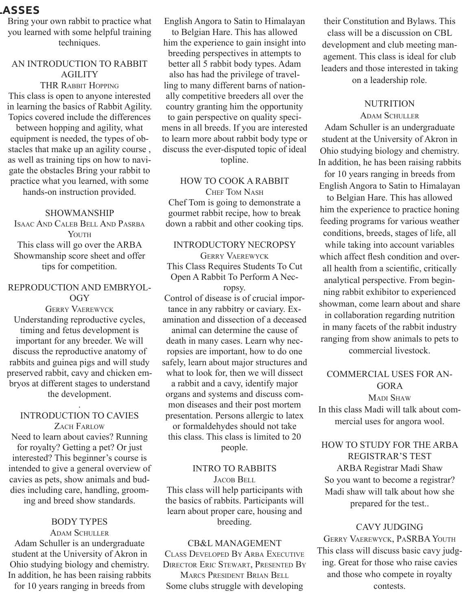## **The Classes**

Bring your own rabbit to practice what you learned with some helpful training techniques.

#### AN INTRODUCTION TO RABBIT AGILITY

THR Rabbit Hopping This class is open to anyone interested in learning the basics of Rabbit Agility. Topics covered include the differences

between hopping and agility, what equipment is needed, the types of obstacles that make up an agility course , as well as training tips on how to navigate the obstacles Bring your rabbit to practice what you learned, with some hands-on instruction provided.

#### SHOWMANSHIP

Isaac And Caleb Bell And Pasrba YOUTH This class will go over the ARBA Showmanship score sheet and offer tips for competition.

### REPRODUCTION AND EMBRYOL-OGY

Gerry Vaerewyck Understanding reproductive cycles, timing and fetus development is important for any breeder. We will discuss the reproductive anatomy of rabbits and guinea pigs and will study preserved rabbit, cavy and chicken embryos at different stages to understand the development.

#### . INTRODUCTION TO CAVIES ZACH FARLOW

Need to learn about cavies? Running for royalty? Getting a pet? Or just interested? This beginner's course is intended to give a general overview of cavies as pets, show animals and buddies including care, handling, grooming and breed show standards.

## BODY TYPES

**ADAM SCHULLER** Adam Schuller is an undergraduate student at the University of Akron in Ohio studying biology and chemistry. In addition, he has been raising rabbits for 10 years ranging in breeds from

English Angora to Satin to Himalayan to Belgian Hare. This has allowed him the experience to gain insight into breeding perspectives in attempts to better all 5 rabbit body types. Adam also has had the privilege of travelling to many different barns of nationally competitive breeders all over the country granting him the opportunity to gain perspective on quality specimens in all breeds. If you are interested to learn more about rabbit body type or discuss the ever-disputed topic of ideal topline.

## HOW TO COOK A RABBIT CHEF TOM NASH

Chef Tom is going to demonstrate a gourmet rabbit recipe, how to break down a rabbit and other cooking tips.

## INTRODUCTORY NECROPSY

Gerry Vaerewyck This Class Requires Students To Cut Open A Rabbit To Perform A Necropsy.

Control of disease is of crucial importance in any rabbitry or caviary. Examination and dissection of a deceased animal can determine the cause of death in many cases. Learn why necropsies are important, how to do one safely, learn about major structures and what to look for, then we will dissect a rabbit and a cavy, identify major organs and systems and discuss common diseases and their post mortem presentation. Persons allergic to latex or formaldehydes should not take this class. This class is limited to 20 people.

### INTRO TO RABBITS

JACOB BELL This class will help participants with the basics of rabbits. Participants will learn about proper care, housing and breeding.

#### CB&L MANAGEMENT Class Developed By Arba Executive Director Eric Stewart, Presented By Marcs President Brian Bell Some clubs struggle with developing

their Constitution and Bylaws. This class will be a discussion on CBL development and club meeting management. This class is ideal for club leaders and those interested in taking on a leadership role.

### **NUTRITION**

#### **ADAM SCHULLER**

Adam Schuller is an undergraduate student at the University of Akron in Ohio studying biology and chemistry. In addition, he has been raising rabbits for 10 years ranging in breeds from

English Angora to Satin to Himalayan

to Belgian Hare. This has allowed him the experience to practice honing feeding programs for various weather conditions, breeds, stages of life, all while taking into account variables which affect flesh condition and overall health from a scientific, critically analytical perspective. From beginning rabbit exhibitor to experienced showman, come learn about and share in collaboration regarding nutrition in many facets of the rabbit industry ranging from show animals to pets to commercial livestock.

COMMERCIAL USES FOR AN-GORA MADI SHAW

In this class Madi will talk about commercial uses for angora wool.

## HOW TO STUDY FOR THE ARBA REGISTRAR'S TEST

ARBA Registrar Madi Shaw So you want to become a registrar? Madi shaw will talk about how she prepared for the test..

#### CAVY JUDGING

Gerry Vaerewyck, PaSRBA Youth This class will discuss basic cavy judging. Great for those who raise cavies and those who compete in royalty contests.